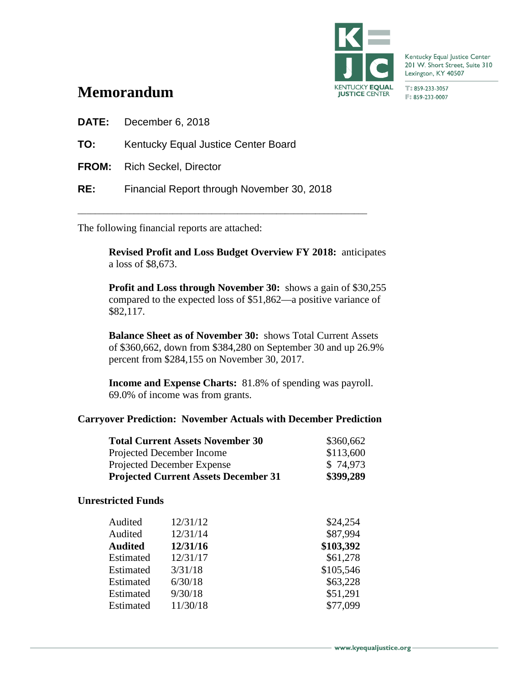

Kentucky Equal Justice Center 201 W. Short Street, Suite 310 Lexington, KY 40507

T:859-233-3057 F: 859-233-0007

# **Memorandum**

**DATE:** December 6, 2018

- **TO:** Kentucky Equal Justice Center Board
- **FROM:** Rich Seckel, Director
- **RE:** Financial Report through November 30, 2018

\_\_\_\_\_\_\_\_\_\_\_\_\_\_\_\_\_\_\_\_\_\_\_\_\_\_\_\_\_\_\_\_\_\_\_\_\_\_\_\_\_\_\_\_\_\_\_\_\_\_\_\_\_\_\_\_\_\_\_\_\_\_\_\_\_\_\_

The following financial reports are attached:

**Revised Profit and Loss Budget Overview FY 2018:** anticipates a loss of \$8,673.

**Profit and Loss through November 30:** shows a gain of \$30,255 compared to the expected loss of \$51,862—a positive variance of \$82,117.

**Balance Sheet as of November 30:** shows Total Current Assets of \$360,662, down from \$384,280 on September 30 and up 26.9% percent from \$284,155 on November 30, 2017.

**Income and Expense Charts:** 81.8% of spending was payroll. 69.0% of income was from grants.

### **Carryover Prediction: November Actuals with December Prediction**

| <b>Total Current Assets November 30</b>     | \$360,662 |
|---------------------------------------------|-----------|
| Projected December Income                   | \$113,600 |
| Projected December Expense                  | \$74,973  |
| <b>Projected Current Assets December 31</b> | \$399,289 |

### **Unrestricted Funds**

| Audited   | 12/31/12 | \$24,254  |
|-----------|----------|-----------|
| Audited   | 12/31/14 | \$87,994  |
| Audited   | 12/31/16 | \$103,392 |
| Estimated | 12/31/17 | \$61,278  |
| Estimated | 3/31/18  | \$105,546 |
| Estimated | 6/30/18  | \$63,228  |
| Estimated | 9/30/18  | \$51,291  |
| Estimated | 11/30/18 | \$77,099  |
|           |          |           |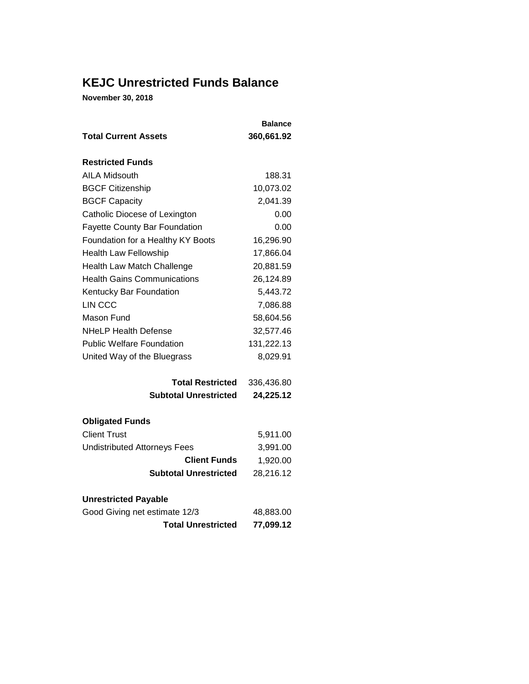## **KEJC Unrestricted Funds Balance**

**November 30, 2018**

|                                      | <b>Balance</b> |
|--------------------------------------|----------------|
| <b>Total Current Assets</b>          | 360,661.92     |
| <b>Restricted Funds</b>              |                |
| <b>AILA Midsouth</b>                 | 188.31         |
| <b>BGCF Citizenship</b>              | 10,073.02      |
| <b>BGCF Capacity</b>                 | 2,041.39       |
| Catholic Diocese of Lexington        | 0.00           |
| <b>Fayette County Bar Foundation</b> | 0.00           |
| Foundation for a Healthy KY Boots    | 16,296.90      |
| <b>Health Law Fellowship</b>         | 17,866.04      |
| <b>Health Law Match Challenge</b>    | 20,881.59      |
| <b>Health Gains Communications</b>   | 26,124.89      |
| Kentucky Bar Foundation              | 5,443.72       |
| LIN CCC                              | 7,086.88       |
| Mason Fund                           | 58,604.56      |
| <b>NHeLP Health Defense</b>          | 32,577.46      |
| <b>Public Welfare Foundation</b>     | 131,222.13     |
| United Way of the Bluegrass          | 8,029.91       |
| <b>Total Restricted</b>              | 336,436.80     |
| <b>Subtotal Unrestricted</b>         | 24,225.12      |
| <b>Obligated Funds</b>               |                |
| <b>Client Trust</b>                  | 5,911.00       |
| <b>Undistributed Attorneys Fees</b>  | 3,991.00       |
| <b>Client Funds</b>                  | 1,920.00       |
| <b>Subtotal Unrestricted</b>         | 28,216.12      |

| <b>Unrestricted Payable</b>   |           |
|-------------------------------|-----------|
| Good Giving net estimate 12/3 | 48,883.00 |
| <b>Total Unrestricted</b>     | 77,099.12 |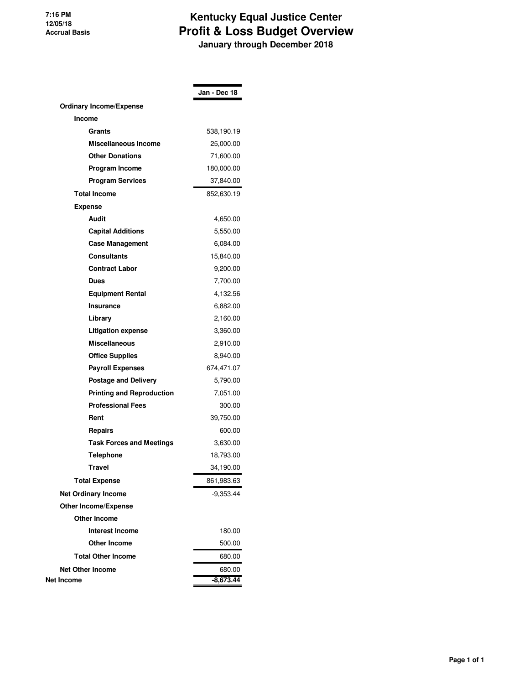#### **7:16 PM 12/05/18 Accrual Basis**

## **Kentucky Equal Justice Center Profit & Loss Budget Overview January through December 2018**

|                                  | Jan - Dec 18 |
|----------------------------------|--------------|
| <b>Ordinary Income/Expense</b>   |              |
| Income                           |              |
| Grants                           | 538,190.19   |
| <b>Miscellaneous Income</b>      | 25,000.00    |
| <b>Other Donations</b>           | 71,600.00    |
| Program Income                   | 180,000.00   |
| <b>Program Services</b>          | 37,840.00    |
| <b>Total Income</b>              | 852,630.19   |
| <b>Expense</b>                   |              |
| Audit                            | 4,650.00     |
| <b>Capital Additions</b>         | 5,550.00     |
| <b>Case Management</b>           | 6,084.00     |
| Consultants                      | 15,840.00    |
| <b>Contract Labor</b>            | 9,200.00     |
| Dues                             | 7,700.00     |
| <b>Equipment Rental</b>          | 4,132.56     |
| Insurance                        | 6,882.00     |
| Library                          | 2,160.00     |
| Litigation expense               | 3,360.00     |
| <b>Miscellaneous</b>             | 2,910.00     |
| <b>Office Supplies</b>           | 8,940.00     |
| <b>Payroll Expenses</b>          | 674,471.07   |
| <b>Postage and Delivery</b>      | 5,790.00     |
| <b>Printing and Reproduction</b> | 7,051.00     |
| <b>Professional Fees</b>         | 300.00       |
| Rent                             | 39,750.00    |
| <b>Repairs</b>                   | 600.00       |
| <b>Task Forces and Meetings</b>  | 3,630.00     |
| Telephone                        | 18,793.00    |
| Travel                           | 34,190.00    |
| <b>Total Expense</b>             | 861,983.63   |
| <b>Net Ordinary Income</b>       | -9,353.44    |
| <b>Other Income/Expense</b>      |              |
| <b>Other Income</b>              |              |
| <b>Interest Income</b>           | 180.00       |
| <b>Other Income</b>              | 500.00       |
| <b>Total Other Income</b>        | 680.00       |
| <b>Net Other Income</b>          | 680.00       |
| Net Income                       | $-8,673.44$  |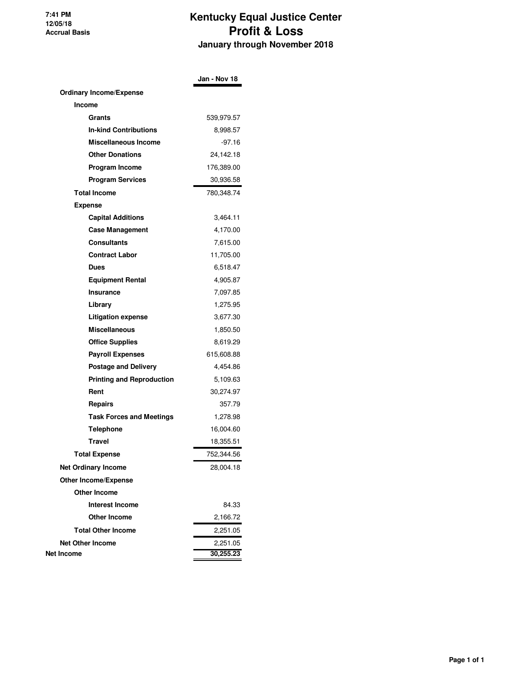**7:41 PM 12/05/18 Accrual Basis**

## **Kentucky Equal Justice Center Profit & Loss January through November 2018**

|                                  | Jan - Nov 18 |
|----------------------------------|--------------|
| <b>Ordinary Income/Expense</b>   |              |
| Income                           |              |
| Grants                           | 539,979.57   |
| <b>In-kind Contributions</b>     | 8,998.57     |
| Miscellaneous Income             | $-97.16$     |
| <b>Other Donations</b>           | 24,142.18    |
| Program Income                   | 176,389.00   |
| <b>Program Services</b>          | 30,936.58    |
| <b>Total Income</b>              | 780,348.74   |
| <b>Expense</b>                   |              |
| <b>Capital Additions</b>         | 3,464.11     |
| <b>Case Management</b>           | 4,170.00     |
| <b>Consultants</b>               | 7,615.00     |
| <b>Contract Labor</b>            | 11,705.00    |
| <b>Dues</b>                      | 6,518.47     |
| <b>Equipment Rental</b>          | 4,905.87     |
| Insurance                        | 7,097.85     |
| Library                          | 1,275.95     |
| <b>Litigation expense</b>        | 3,677.30     |
| <b>Miscellaneous</b>             | 1,850.50     |
| <b>Office Supplies</b>           | 8,619.29     |
| <b>Payroll Expenses</b>          | 615,608.88   |
| <b>Postage and Delivery</b>      | 4,454.86     |
| <b>Printing and Reproduction</b> | 5,109.63     |
| Rent                             | 30,274.97    |
| Repairs                          | 357.79       |
| <b>Task Forces and Meetings</b>  | 1,278.98     |
| Telephone                        | 16,004.60    |
| Travel                           | 18,355.51    |
| <b>Total Expense</b>             | 752,344.56   |
| <b>Net Ordinary Income</b>       | 28,004.18    |
| <b>Other Income/Expense</b>      |              |
| <b>Other Income</b>              |              |
| <b>Interest Income</b>           | 84.33        |
| <b>Other Income</b>              | 2,166.72     |
| <b>Total Other Income</b>        | 2,251.05     |
| <b>Net Other Income</b>          | 2,251.05     |
| Net Income                       | 30,255.23    |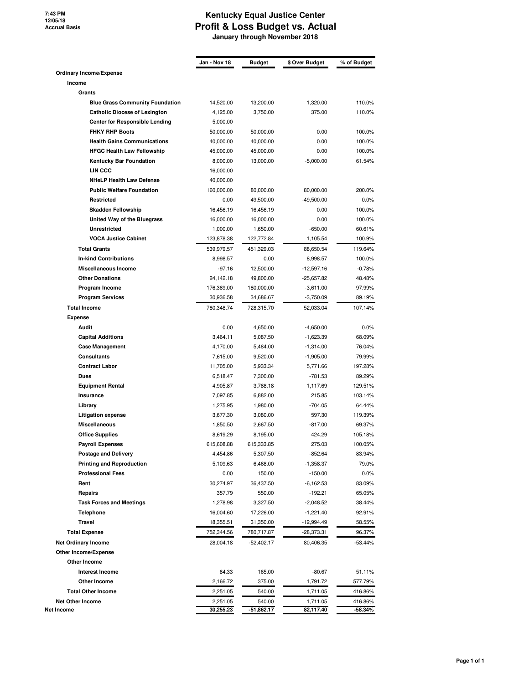**7:43 PM 12/05/18 Accrual Basis**

### **Kentucky Equal Justice Center Profit & Loss Budget vs. Actual January through November 2018**

|                                                   |                                        | Jan - Nov 18         | Budget               | \$ Over Budget      | % of Budget       |
|---------------------------------------------------|----------------------------------------|----------------------|----------------------|---------------------|-------------------|
| Ordinary Income/Expense                           |                                        |                      |                      |                     |                   |
| Income                                            |                                        |                      |                      |                     |                   |
| Grants                                            |                                        |                      |                      |                     |                   |
|                                                   | <b>Blue Grass Community Foundation</b> | 14,520.00            | 13,200.00            | 1,320.00            | 110.0%            |
| <b>Catholic Diocese of Lexington</b>              |                                        | 4,125.00             | 3,750.00             | 375.00              | 110.0%            |
|                                                   | <b>Center for Responsible Lending</b>  | 5,000.00             |                      |                     |                   |
| <b>FHKY RHP Boots</b>                             |                                        | 50,000.00            | 50,000.00            | 0.00                | 100.0%            |
| <b>Health Gains Communications</b>                |                                        | 40,000.00            | 40,000.00            | 0.00                | 100.0%            |
| <b>HFGC Health Law Fellowship</b>                 |                                        | 45,000.00            | 45,000.00            | 0.00                | 100.0%            |
| <b>Kentucky Bar Foundation</b>                    |                                        | 8,000.00             | 13,000.00            | $-5,000.00$         | 61.54%            |
| LIN CCC                                           |                                        | 16,000.00            |                      |                     |                   |
| <b>NHeLP Health Law Defense</b>                   |                                        | 40,000.00            |                      |                     |                   |
| <b>Public Welfare Foundation</b>                  |                                        | 160,000.00           | 80,000.00            | 80,000.00           | 200.0%            |
| Restricted                                        |                                        | 0.00                 | 49,500.00            | $-49,500.00$        | 0.0%              |
| Skadden Fellowship                                |                                        | 16,456.19            | 16,456.19            | 0.00                | 100.0%            |
| United Way of the Bluegrass                       |                                        | 16,000.00            | 16,000.00            | 0.00                | 100.0%            |
| <b>Unrestricted</b>                               |                                        | 1,000.00             | 1,650.00             | $-650.00$           | 60.61%            |
| <b>VOCA Justice Cabinet</b>                       |                                        | 123,878.38           | 122,772.84           | 1,105.54            | 100.9%            |
| <b>Total Grants</b>                               |                                        | 539,979.57           | 451,329.03           | 88,650.54           | 119.64%           |
| <b>In-kind Contributions</b>                      |                                        | 8,998.57             | 0.00                 | 8,998.57            | 100.0%            |
| Miscellaneous Income                              |                                        | $-97.16$             | 12,500.00            | $-12,597.16$        | $-0.78%$          |
| <b>Other Donations</b>                            |                                        | 24,142.18            | 49,800.00            | $-25,657.82$        | 48.48%            |
| Program Income                                    |                                        | 176,389.00           | 180,000.00           | $-3,611.00$         | 97.99%            |
| <b>Program Services</b>                           |                                        | 30,936.58            | 34,686.67            | $-3,750.09$         | 89.19%            |
| <b>Total Income</b>                               |                                        | 780,348.74           | 728,315.70           | 52,033.04           | 107.14%           |
| <b>Expense</b>                                    |                                        |                      |                      |                     |                   |
| Audit                                             |                                        | 0.00                 | 4,650.00             | $-4,650.00$         | 0.0%              |
| <b>Capital Additions</b>                          |                                        | 3,464.11             | 5,087.50             | $-1,623.39$         | 68.09%            |
| <b>Case Management</b>                            |                                        | 4,170.00             | 5,484.00             | $-1,314.00$         | 76.04%            |
| <b>Consultants</b>                                |                                        | 7,615.00             | 9,520.00             | $-1,905.00$         | 79.99%            |
| <b>Contract Labor</b>                             |                                        | 11,705.00            | 5,933.34             | 5,771.66            | 197.28%           |
| Dues                                              |                                        | 6,518.47             | 7,300.00             | -781.53             | 89.29%            |
| <b>Equipment Rental</b>                           |                                        | 4,905.87             | 3,788.18             | 1,117.69            | 129.51%           |
| Insurance                                         |                                        | 7,097.85             | 6,882.00             | 215.85              | 103.14%<br>64.44% |
| Library                                           |                                        | 1,275.95             | 1,980.00             | $-704.05$<br>597.30 |                   |
| <b>Litigation expense</b><br>Miscellaneous        |                                        | 3,677.30             | 3,080.00             |                     | 119.39%<br>69.37% |
|                                                   |                                        | 1,850.50<br>8,619.29 | 2,667.50<br>8,195.00 | $-817.00$<br>424.29 | 105.18%           |
| <b>Office Supplies</b><br><b>Payroll Expenses</b> |                                        | 615,608.88           | 615,333.85           | 275.03              | 100.05%           |
| <b>Postage and Delivery</b>                       |                                        | 4,454.86             | 5,307.50             | $-852.64$           | 83.94%            |
| <b>Printing and Reproduction</b>                  |                                        | 5,109.63             | 6,468.00             | $-1,358.37$         | 79.0%             |
| <b>Professional Fees</b>                          |                                        | 0.00                 | 150.00               | $-150.00$           | 0.0%              |
| Rent                                              |                                        | 30,274.97            | 36,437.50            | $-6,162.53$         | 83.09%            |
| <b>Repairs</b>                                    |                                        | 357.79               | 550.00               | $-192.21$           | 65.05%            |
| <b>Task Forces and Meetings</b>                   |                                        | 1,278.98             | 3,327.50             | $-2,048.52$         | 38.44%            |
| <b>Telephone</b>                                  |                                        | 16,004.60            | 17,226.00            | $-1,221.40$         | 92.91%            |
| <b>Travel</b>                                     |                                        | 18,355.51            | 31,350.00            | $-12,994.49$        | 58.55%            |
| <b>Total Expense</b>                              |                                        | 752,344.56           | 780,717.87           | -28,373.31          | 96.37%            |
| <b>Net Ordinary Income</b>                        |                                        | 28,004.18            | $-52,402.17$         | 80,406.35           | $-53.44%$         |
| Other Income/Expense                              |                                        |                      |                      |                     |                   |
| Other Income                                      |                                        |                      |                      |                     |                   |
| <b>Interest Income</b>                            |                                        | 84.33                | 165.00               | $-80.67$            | 51.11%            |
| Other Income                                      |                                        | 2,166.72             | 375.00               | 1,791.72            | 577.79%           |
| <b>Total Other Income</b>                         |                                        | 2,251.05             | 540.00               | 1,711.05            | 416.86%           |
|                                                   |                                        |                      |                      |                     |                   |
| <b>Net Other Income</b>                           |                                        | 2,251.05             | 540.00               | 1,711.05            | 416.86%           |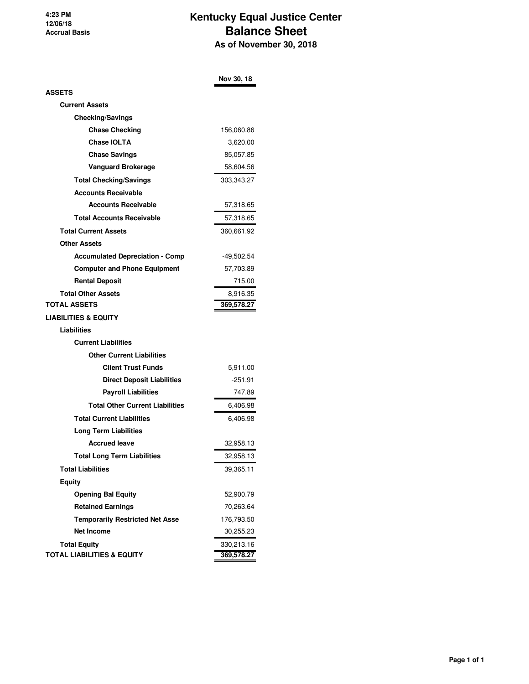**4:23 PM 12/06/18 Accrual Basis**

### **Kentucky Equal Justice Center Balance Sheet As of November 30, 2018**

|                                        | Nov 30, 18 |
|----------------------------------------|------------|
| ASSETS                                 |            |
| <b>Current Assets</b>                  |            |
| <b>Checking/Savings</b>                |            |
| <b>Chase Checking</b>                  | 156,060.86 |
| <b>Chase IOLTA</b>                     | 3,620.00   |
| <b>Chase Savings</b>                   | 85,057.85  |
| <b>Vanguard Brokerage</b>              | 58,604.56  |
| <b>Total Checking/Savings</b>          | 303,343.27 |
| <b>Accounts Receivable</b>             |            |
| <b>Accounts Receivable</b>             | 57,318.65  |
| <b>Total Accounts Receivable</b>       | 57,318.65  |
| <b>Total Current Assets</b>            | 360,661.92 |
| <b>Other Assets</b>                    |            |
| <b>Accumulated Depreciation - Comp</b> | -49,502.54 |
| <b>Computer and Phone Equipment</b>    | 57,703.89  |
| <b>Rental Deposit</b>                  | 715.00     |
| <b>Total Other Assets</b>              | 8,916.35   |
| TOTAL ASSETS                           | 369,578.27 |
| LIABILITIES & EQUITY                   |            |
| Liabilities                            |            |
| <b>Current Liabilities</b>             |            |
| <b>Other Current Liabilities</b>       |            |
| <b>Client Trust Funds</b>              | 5,911.00   |
| <b>Direct Deposit Liabilities</b>      | -251.91    |
| <b>Payroll Liabilities</b>             | 747.89     |
| <b>Total Other Current Liabilities</b> | 6,406.98   |
| <b>Total Current Liabilities</b>       | 6,406.98   |
| <b>Long Term Liabilities</b>           |            |
| <b>Accrued leave</b>                   | 32,958.13  |
| <b>Total Long Term Liabilities</b>     | 32,958.13  |
| <b>Total Liabilities</b>               | 39,365.11  |
| <b>Equity</b>                          |            |
| <b>Opening Bal Equity</b>              | 52,900.79  |
| <b>Retained Earnings</b>               | 70,263.64  |
| <b>Temporarily Restricted Net Asse</b> | 176,793.50 |
| <b>Net Income</b>                      | 30,255.23  |
| <b>Total Equity</b>                    | 330,213.16 |
| <b>TOTAL LIABILITIES &amp; EQUITY</b>  | 369,578.27 |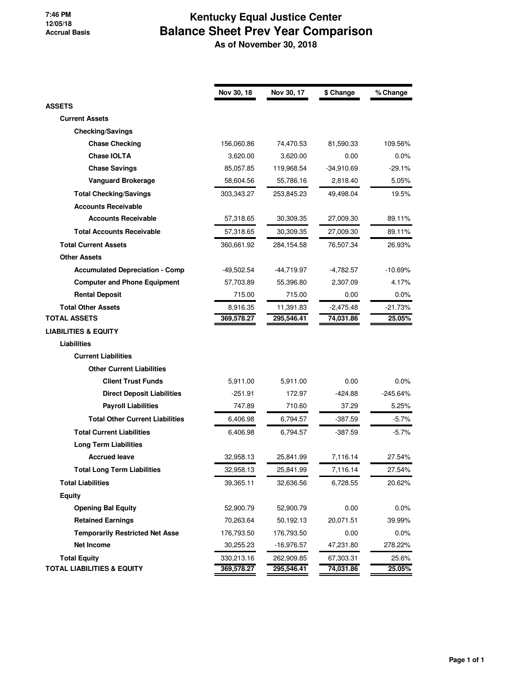#### **7:46 PM 12/05/18 Accrual Basis**

# **Kentucky Equal Justice Center Balance Sheet Prev Year Comparison**

 **As of November 30, 2018**

|                                        | Nov 30, 18 | Nov 30, 17   | \$ Change    | % Change   |
|----------------------------------------|------------|--------------|--------------|------------|
| <b>ASSETS</b>                          |            |              |              |            |
| <b>Current Assets</b>                  |            |              |              |            |
| <b>Checking/Savings</b>                |            |              |              |            |
| <b>Chase Checking</b>                  | 156,060.86 | 74,470.53    | 81,590.33    | 109.56%    |
| <b>Chase IOLTA</b>                     | 3,620.00   | 3,620.00     | 0.00         | 0.0%       |
| <b>Chase Savings</b>                   | 85,057.85  | 119,968.54   | $-34,910.69$ | $-29.1%$   |
| <b>Vanguard Brokerage</b>              | 58,604.56  | 55,786.16    | 2,818.40     | 5.05%      |
| <b>Total Checking/Savings</b>          | 303,343.27 | 253,845.23   | 49,498.04    | 19.5%      |
| <b>Accounts Receivable</b>             |            |              |              |            |
| <b>Accounts Receivable</b>             | 57,318.65  | 30,309.35    | 27,009.30    | 89.11%     |
| <b>Total Accounts Receivable</b>       | 57,318.65  | 30,309.35    | 27,009.30    | 89.11%     |
| <b>Total Current Assets</b>            | 360,661.92 | 284,154.58   | 76,507.34    | 26.93%     |
| <b>Other Assets</b>                    |            |              |              |            |
| <b>Accumulated Depreciation - Comp</b> | -49,502.54 | -44,719.97   | $-4,782.57$  | $-10.69%$  |
| <b>Computer and Phone Equipment</b>    | 57,703.89  | 55,396.80    | 2,307.09     | 4.17%      |
| <b>Rental Deposit</b>                  | 715.00     | 715.00       | 0.00         | $0.0\%$    |
| <b>Total Other Assets</b>              | 8,916.35   | 11,391.83    | $-2,475.48$  | -21.73%    |
| <b>TOTAL ASSETS</b>                    | 369,578.27 | 295,546.41   | 74,031.86    | 25.05%     |
| <b>LIABILITIES &amp; EQUITY</b>        |            |              |              |            |
| Liabilities                            |            |              |              |            |
| <b>Current Liabilities</b>             |            |              |              |            |
| <b>Other Current Liabilities</b>       |            |              |              |            |
| <b>Client Trust Funds</b>              | 5,911.00   | 5,911.00     | 0.00         | 0.0%       |
| <b>Direct Deposit Liabilities</b>      | -251.91    | 172.97       | -424.88      | $-245.64%$ |
| <b>Payroll Liabilities</b>             | 747.89     | 710.60       | 37.29        | 5.25%      |
| <b>Total Other Current Liabilities</b> | 6,406.98   | 6,794.57     | -387.59      | $-5.7\%$   |
| <b>Total Current Liabilities</b>       | 6,406.98   | 6,794.57     | -387.59      | $-5.7%$    |
| <b>Long Term Liabilities</b>           |            |              |              |            |
| <b>Accrued leave</b>                   | 32,958.13  | 25,841.99    | 7,116.14     | 27.54%     |
| <b>Total Long Term Liabilities</b>     | 32,958.13  | 25,841.99    | 7,116.14     | 27.54%     |
| <b>Total Liabilities</b>               | 39,365.11  | 32,636.56    | 6,728.55     | 20.62%     |
| <b>Equity</b>                          |            |              |              |            |
| <b>Opening Bal Equity</b>              | 52,900.79  | 52,900.79    | 0.00         | 0.0%       |
| <b>Retained Earnings</b>               | 70,263.64  | 50,192.13    | 20,071.51    | 39.99%     |
| <b>Temporarily Restricted Net Asse</b> | 176,793.50 | 176,793.50   | 0.00         | $0.0\%$    |
| <b>Net Income</b>                      | 30,255.23  | $-16,976.57$ | 47,231.80    | 278.22%    |
| <b>Total Equity</b>                    | 330,213.16 | 262,909.85   | 67,303.31    | 25.6%      |
| <b>TOTAL LIABILITIES &amp; EQUITY</b>  | 369,578.27 | 295,546.41   | 74,031.86    | 25.05%     |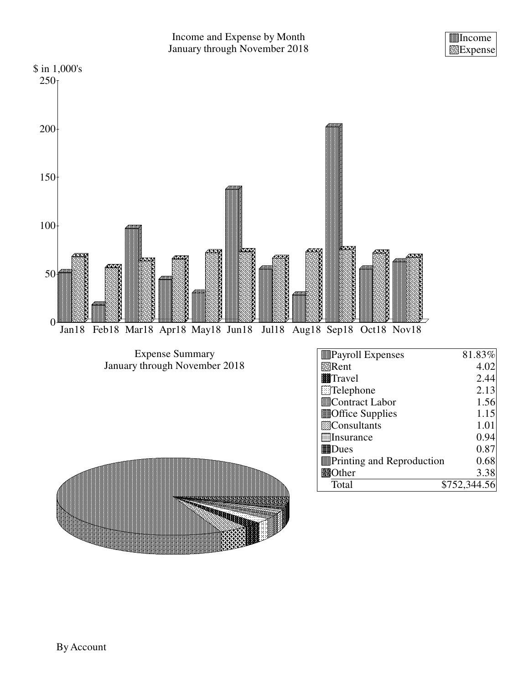Income Expense

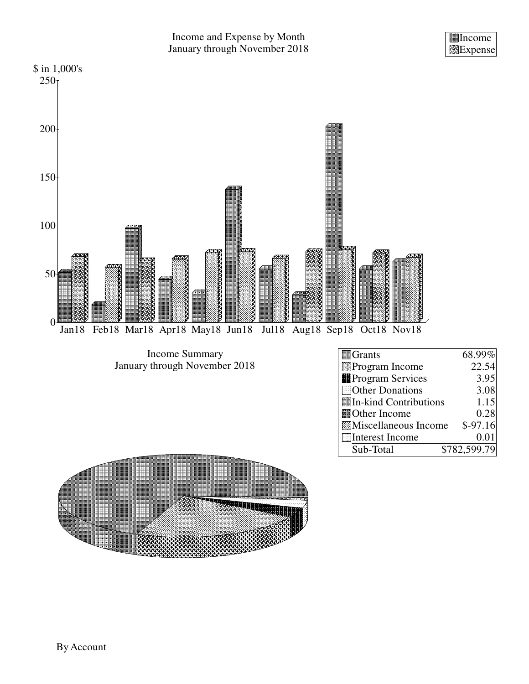Income Expense

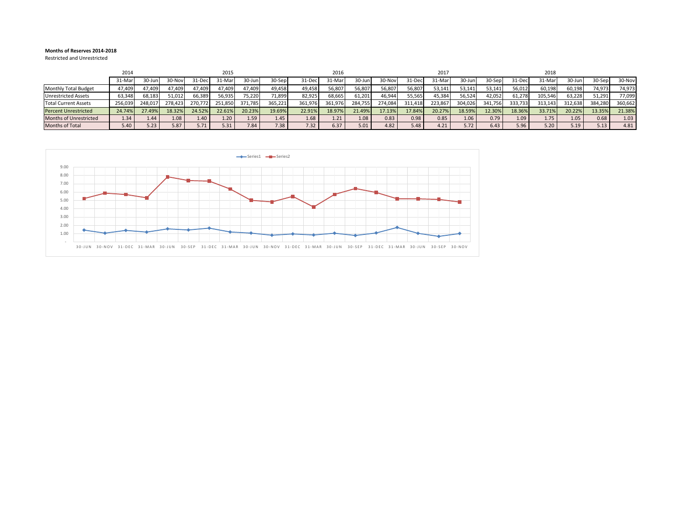#### **Months of Reserves 2014-2018**

Restricted and Unrestricted

|                               | 2014    |         |                   |         | 2015    |         |         |         | 2016    |         |               |         | 2017    |         |         |         | 2018    |         |         |         |
|-------------------------------|---------|---------|-------------------|---------|---------|---------|---------|---------|---------|---------|---------------|---------|---------|---------|---------|---------|---------|---------|---------|---------|
|                               | 31-Mar  | 30-Jun  | 30-Nov            | 31-Dec. | 31-Mar  | 30-Jun  | 30-Sep  | 31-Dec  | 31-Mar  | 30-Jun  | <b>30-Nov</b> | 31-Dec  | 31-Marl | 30-Jun  | 30-Sep  | 31-Dec  | 31-Marl | 30-Jun  | 30-Sep  | 30-Nov  |
| <b>Monthly Total Budget</b>   | 47,409  | 47.409  | 47,409            | 47,409  | 47,409  | 47,409  | 49.458  | 49.458  | 56,807  | 56,807  | 56,807        | 56,807  | 53,141  | 53,141  | 53.141  | 56,012  | 60,198  | 60.198  | 74,973  | 74,973  |
| <b>Unrestricted Assets</b>    | 63,348  | 68,183  | 51,012            | 66,389  | 56,935  | 75,220  | 71,899  | 82.925  | 68,665  | 61,201  | 46,944        | 55,565  | 45,384  | 56,524  | 42,052  | 61,278  | 105,546 | 63,228  | 51,291  | 77,099  |
| <b>Total Current Assets</b>   | 256,039 | 248,017 | ?78,423           | 270.772 | 251,850 | 371,785 | 365,221 | 361,976 | 361,976 | 284,755 | 274,084       | 311,418 | 223,867 | 304,026 | 341,756 | 333,733 | 313,143 | 312,638 | 384,280 | 360,662 |
| <b>Percent Unrestricted</b>   | 24.74%  | 27.49%  | 18.32%            | 24.52%  | 22.61%  | 20.23%  | 19.69%  | 22.91%  | 18.97%  | 21.49%  | 7.13%         | 17.84%  | 20.27%  | 18.59%  | 12.30%  | 18.36%  | 33.71%  | 20.22%  | 13.35%  | 21.38%  |
| <b>Months of Unrestricted</b> | 1.34    | 1.44    | 1.08 <sub>1</sub> | 1.40    | 1.20    | 1.59    | 1.45    | 1.68    | 1.21    | 1.08    | 0.83          | 0.98    | 0.85    | 1.06    | 0.79    | 1.09    | 1.75    | 1.05    | 0.68    | 1.03    |
| Months of Total               | 5.40    | 5.23    | 5.87              | 5.71    | 5.31    | 7.84    | 7.38    | 7.32    | 6.37    | 5.01    | 4.82          |         | 4.21    | 5.72    | 6.43    | 5.96    | 5.20    | 5.19    | 5.13    | 4.81    |

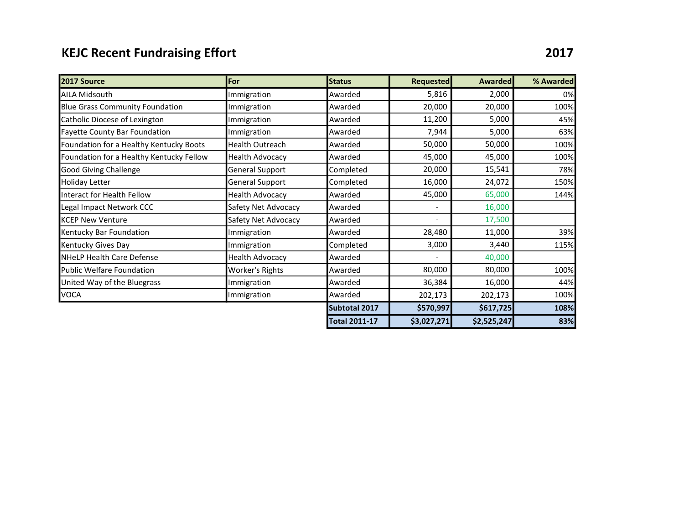# KEJC Recent Fundraising Effort **2017**

| 2017 Source                              | For                    | <b>Status</b>        | <b>Requested</b> | <b>Awarded</b> | % Awarded |
|------------------------------------------|------------------------|----------------------|------------------|----------------|-----------|
| <b>AILA Midsouth</b>                     | Immigration            | Awarded              | 5,816            | 2,000          | 0%        |
| <b>Blue Grass Community Foundation</b>   | Immigration            | Awarded              | 20,000           | 20,000         | 100%      |
| Catholic Diocese of Lexington            | Immigration            | Awarded              | 11,200           | 5,000          | 45%       |
| <b>Fayette County Bar Foundation</b>     | Immigration            | Awarded              | 7,944            | 5,000          | 63%       |
| Foundation for a Healthy Kentucky Boots  | Health Outreach        | Awarded              | 50,000           | 50,000         | 100%      |
| Foundation for a Healthy Kentucky Fellow | <b>Health Advocacy</b> | Awarded              | 45,000           | 45,000         | 100%      |
| <b>Good Giving Challenge</b>             | <b>General Support</b> | Completed            | 20,000           | 15,541         | 78%       |
| <b>Holiday Letter</b>                    | <b>General Support</b> | Completed            | 16,000           | 24,072         | 150%      |
| Interact for Health Fellow               | <b>Health Advocacy</b> | Awarded              | 45,000           | 65,000         | 144%      |
| Legal Impact Network CCC                 | Safety Net Advocacy    | Awarded              |                  | 16,000         |           |
| <b>KCEP New Venture</b>                  | Safety Net Advocacy    | Awarded              |                  | 17,500         |           |
| Kentucky Bar Foundation                  | Immigration            | Awarded              | 28,480           | 11,000         | 39%       |
| Kentucky Gives Day                       | Immigration            | Completed            | 3,000            | 3,440          | 115%      |
| NHeLP Health Care Defense                | <b>Health Advocacy</b> | Awarded              |                  | 40,000         |           |
| <b>Public Welfare Foundation</b>         | Worker's Rights        | Awarded              | 80,000           | 80,000         | 100%      |
| United Way of the Bluegrass              | Immigration            | Awarded              | 36,384           | 16,000         | 44%       |
| VOCA                                     | Immigration            | Awarded              | 202,173          | 202,173        | 100%      |
|                                          |                        | Subtotal 2017        | \$570,997        | \$617,725      | 108%      |
|                                          |                        | <b>Total 2011-17</b> | \$3,027,271      | \$2,525,247    | 83%       |